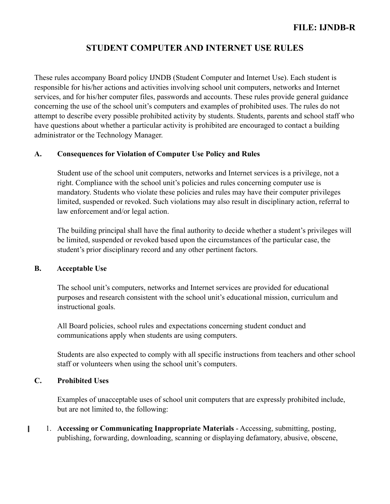These rules accompany Board policy IJNDB (Student Computer and Internet Use). Each student is responsible for his/her actions and activities involving school unit computers, networks and Internet services, and for his/her computer files, passwords and accounts. These rules provide general guidance concerning the use of the school unit's computers and examples of prohibited uses. The rules do not attempt to describe every possible prohibited activity by students. Students, parents and school staff who have questions about whether a particular activity is prohibited are encouraged to contact a building administrator or the Technology Manager.

### **A. Consequences for Violation of Computer Use Policy and Rules**

Student use of the school unit computers, networks and Internet services is a privilege, not a right. Compliance with the school unit's policies and rules concerning computer use is mandatory. Students who violate these policies and rules may have their computer privileges limited, suspended or revoked. Such violations may also result in disciplinary action, referral to law enforcement and/or legal action.

The building principal shall have the final authority to decide whether a student's privileges will be limited, suspended or revoked based upon the circumstances of the particular case, the student's prior disciplinary record and any other pertinent factors.

#### **B. Acceptable Use**

The school unit's computers, networks and Internet services are provided for educational purposes and research consistent with the school unit's educational mission, curriculum and instructional goals.

All Board policies, school rules and expectations concerning student conduct and communications apply when students are using computers.

Students are also expected to comply with all specific instructions from teachers and other school staff or volunteers when using the school unit's computers.

### **C. Prohibited Uses**

Examples of unacceptable uses of school unit computers that are expressly prohibited include, but are not limited to, the following:

1. **Accessing or Communicating Inappropriate Materials** - Accessing, submitting, posting, П publishing, forwarding, downloading, scanning or displaying defamatory, abusive, obscene,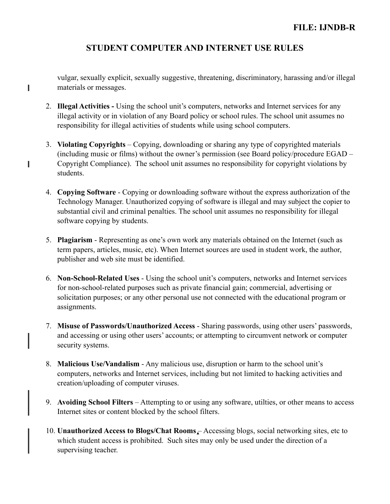vulgar, sexually explicit, sexually suggestive, threatening, discriminatory, harassing and/or illegal materials or messages.

2. **Illegal Activities -** Using the school unit's computers, networks and Internet services for any illegal activity or in violation of any Board policy or school rules. The school unit assumes no responsibility for illegal activities of students while using school computers.

I

П

- 3. **Violating Copyrights** Copying, downloading or sharing any type of copyrighted materials (including music or films) without the owner's permission (see Board policy/procedure EGAD – Copyright Compliance). The school unit assumes no responsibility for copyright violations by students.
- 4. **Copying Software** Copying or downloading software without the express authorization of the Technology Manager. Unauthorized copying of software is illegal and may subject the copier to substantial civil and criminal penalties. The school unit assumes no responsibility for illegal software copying by students.
- 5. **Plagiarism** Representing as one's own work any materials obtained on the Internet (such as term papers, articles, music, etc). When Internet sources are used in student work, the author, publisher and web site must be identified.
- 6. **Non-School-Related Uses** Using the school unit's computers, networks and Internet services for non-school-related purposes such as private financial gain; commercial, advertising or solicitation purposes; or any other personal use not connected with the educational program or assignments.
- 7. **Misuse of Passwords/Unauthorized Access** Sharing passwords, using other users' passwords, and accessing or using other users' accounts; or attempting to circumvent network or computer security systems.
- 8. **Malicious Use/Vandalism** Any malicious use, disruption or harm to the school unit's computers, networks and Internet services, including but not limited to hacking activities and creation/uploading of computer viruses.
- 9. **Avoiding School Filters** Attempting to or using any software, utilties, or other means to access Internet sites or content blocked by the school filters.
- 10. **Unauthorized Access to Blogs/Chat Rooms** Accessing blogs, social networking sites, etc to which student access is prohibited. Such sites may only be used under the direction of a supervising teacher.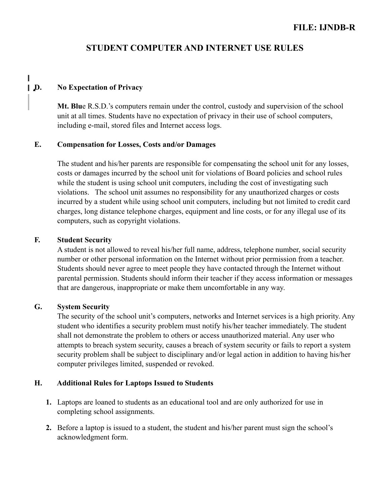### 0**D. No Expectation of Privacy**

**Mt. Blu**e R.S.D.'s computers remain under the control, custody and supervision of the school unit at all times. Students have no expectation of privacy in their use of school computers, including e-mail, stored files and Internet access logs.

#### **E. Compensation for Losses, Costs and/or Damages**

The student and his/her parents are responsible for compensating the school unit for any losses, costs or damages incurred by the school unit for violations of Board policies and school rules while the student is using school unit computers, including the cost of investigating such violations. The school unit assumes no responsibility for any unauthorized charges or costs incurred by a student while using school unit computers, including but not limited to credit card charges, long distance telephone charges, equipment and line costs, or for any illegal use of its computers, such as copyright violations.

#### **F. Student Security**

A student is not allowed to reveal his/her full name, address, telephone number, social security number or other personal information on the Internet without prior permission from a teacher. Students should never agree to meet people they have contacted through the Internet without parental permission. Students should inform their teacher if they access information or messages that are dangerous, inappropriate or make them uncomfortable in any way.

#### **G. System Security**

The security of the school unit's computers, networks and Internet services is a high priority. Any student who identifies a security problem must notify his/her teacher immediately. The student shall not demonstrate the problem to others or access unauthorized material. Any user who attempts to breach system security, causes a breach of system security or fails to report a system security problem shall be subject to disciplinary and/or legal action in addition to having his/her computer privileges limited, suspended or revoked.

### **H. Additional Rules for Laptops Issued to Students**

- **1.** Laptops are loaned to students as an educational tool and are only authorized for use in completing school assignments.
- **2.** Before a laptop is issued to a student, the student and his/her parent must sign the school's acknowledgment form.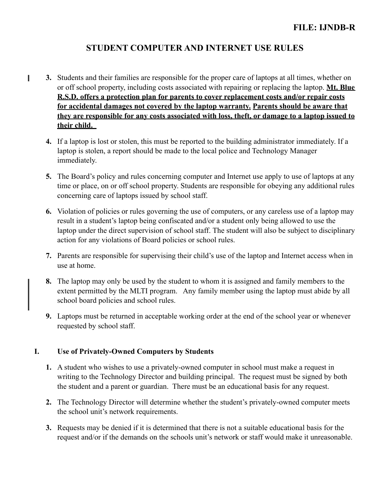- **3.** Students and their families are responsible for the proper care of laptops at all times, whether on I or off school property, including costs associated with repairing or replacing the laptop. **Mt. Blue R.S.D. offers a protection plan for parents to cover replacement costs and/or repair costs for accidental damages not covered by the laptop warranty. Parents should be aware that they are responsible for any costs associated with loss, theft, or damage to a laptop issued to their child.** 
	- **4.** If a laptop is lost or stolen, this must be reported to the building administrator immediately. If a laptop is stolen, a report should be made to the local police and Technology Manager immediately.
	- **5.** The Board's policy and rules concerning computer and Internet use apply to use of laptops at any time or place, on or off school property. Students are responsible for obeying any additional rules concerning care of laptops issued by school staff.
	- **6.** Violation of policies or rules governing the use of computers, or any careless use of a laptop may result in a student's laptop being confiscated and/or a student only being allowed to use the laptop under the direct supervision of school staff. The student will also be subject to disciplinary action for any violations of Board policies or school rules.
	- **7.** Parents are responsible for supervising their child's use of the laptop and Internet access when in use at home.
	- **8.** The laptop may only be used by the student to whom it is assigned and family members to the extent permitted by the MLTI program. Any family member using the laptop must abide by all school board policies and school rules.
	- **9.** Laptops must be returned in acceptable working order at the end of the school year or whenever requested by school staff.

### **I. Use of Privately-Owned Computers by Students**

- **1.** A student who wishes to use a privately-owned computer in school must make a request in writing to the Technology Director and building principal. The request must be signed by both the student and a parent or guardian. There must be an educational basis for any request.
- **2.** The Technology Director will determine whether the student's privately-owned computer meets the school unit's network requirements.
- **3.** Requests may be denied if it is determined that there is not a suitable educational basis for the request and/or if the demands on the schools unit's network or staff would make it unreasonable.